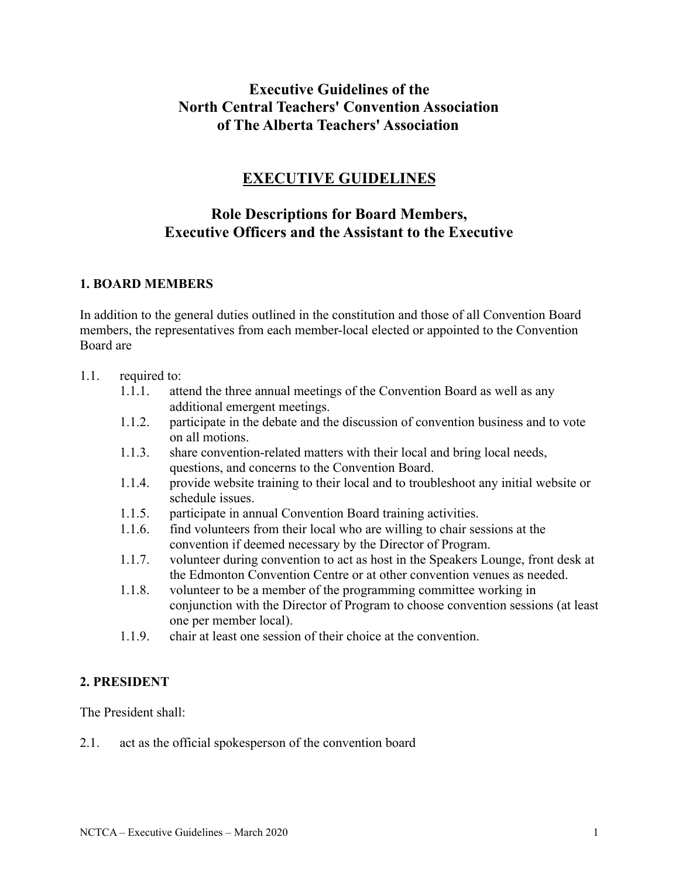# **Executive Guidelines of the North Central Teachers' Convention Association of The Alberta Teachers' Association**

# **EXECUTIVE GUIDELINES**

## **Role Descriptions for Board Members, Executive Officers and the Assistant to the Executive**

### **1. BOARD MEMBERS**

In addition to the general duties outlined in the constitution and those of all Convention Board members, the representatives from each member-local elected or appointed to the Convention Board are

#### 1.1. required to:

- 1.1.1. attend the three annual meetings of the Convention Board as well as any additional emergent meetings.
- 1.1.2. participate in the debate and the discussion of convention business and to vote on all motions.
- 1.1.3. share convention-related matters with their local and bring local needs, questions, and concerns to the Convention Board.
- 1.1.4. provide website training to their local and to troubleshoot any initial website or schedule issues.
- 1.1.5. participate in annual Convention Board training activities.
- 1.1.6. find volunteers from their local who are willing to chair sessions at the convention if deemed necessary by the Director of Program.
- 1.1.7. volunteer during convention to act as host in the Speakers Lounge, front desk at the Edmonton Convention Centre or at other convention venues as needed.
- 1.1.8. volunteer to be a member of the programming committee working in conjunction with the Director of Program to choose convention sessions (at least one per member local).
- 1.1.9. chair at least one session of their choice at the convention.

#### **2. PRESIDENT**

The President shall:

2.1. act as the official spokesperson of the convention board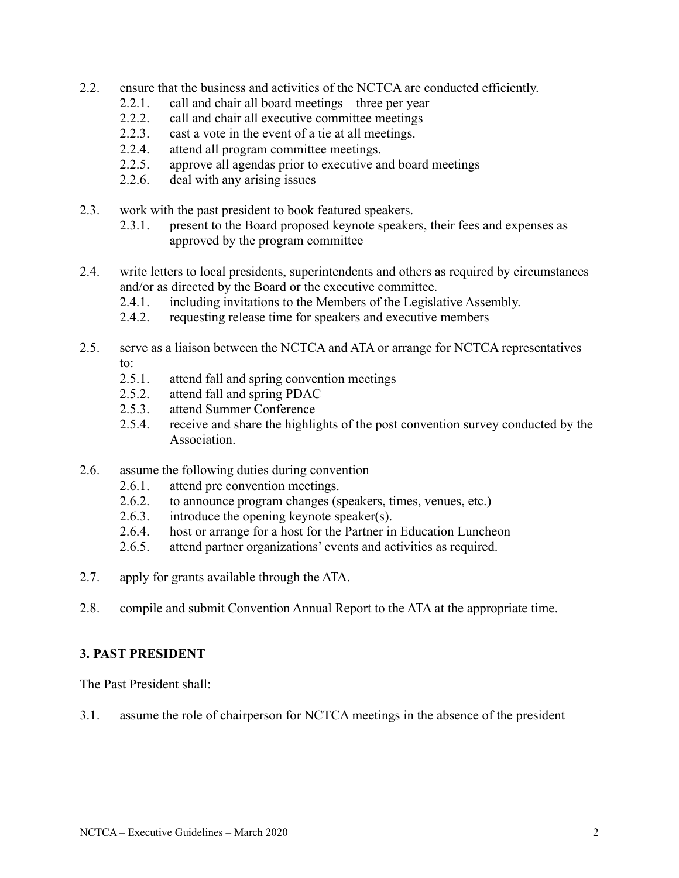- 2.2. ensure that the business and activities of the NCTCA are conducted efficiently.
	- 2.2.1. call and chair all board meetings three per year
	- 2.2.2. call and chair all executive committee meetings
	- 2.2.3. cast a vote in the event of a tie at all meetings.
	- 2.2.4. attend all program committee meetings.
	- 2.2.5. approve all agendas prior to executive and board meetings
	- 2.2.6. deal with any arising issues
- 2.3. work with the past president to book featured speakers.
	- 2.3.1. present to the Board proposed keynote speakers, their fees and expenses as approved by the program committee
- 2.4. write letters to local presidents, superintendents and others as required by circumstances and/or as directed by the Board or the executive committee.
	- 2.4.1. including invitations to the Members of the Legislative Assembly.
	- 2.4.2. requesting release time for speakers and executive members
- 2.5. serve as a liaison between the NCTCA and ATA or arrange for NCTCA representatives to:
	- 2.5.1. attend fall and spring convention meetings
	- 2.5.2. attend fall and spring PDAC
	- 2.5.3. attend Summer Conference
	- 2.5.4. receive and share the highlights of the post convention survey conducted by the **Association**
- 2.6. assume the following duties during convention
	- 2.6.1. attend pre convention meetings.
	- 2.6.2. to announce program changes (speakers, times, venues, etc.)
	- 2.6.3. introduce the opening keynote speaker(s).
	- 2.6.4. host or arrange for a host for the Partner in Education Luncheon
	- 2.6.5. attend partner organizations' events and activities as required.
- 2.7. apply for grants available through the ATA.
- 2.8. compile and submit Convention Annual Report to the ATA at the appropriate time.

### **3. PAST PRESIDENT**

The Past President shall:

3.1. assume the role of chairperson for NCTCA meetings in the absence of the president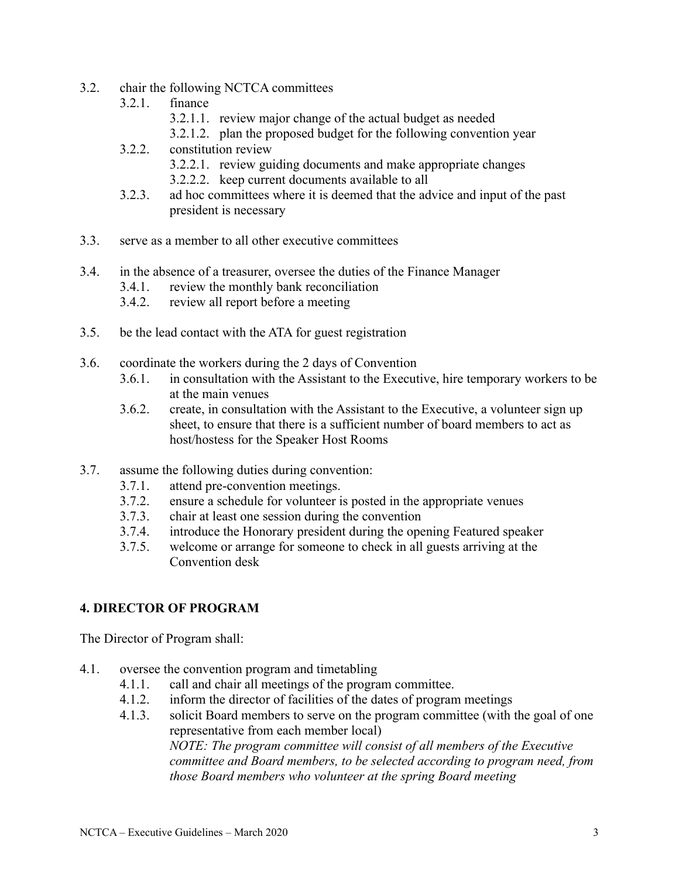- 3.2. chair the following NCTCA committees
	- 3.2.1. finance
		- 3.2.1.1. review major change of the actual budget as needed
		- 3.2.1.2. plan the proposed budget for the following convention year
	- 3.2.2. constitution review
		- 3.2.2.1. review guiding documents and make appropriate changes
		- 3.2.2.2. keep current documents available to all
	- 3.2.3. ad hoc committees where it is deemed that the advice and input of the past president is necessary
- 3.3. serve as a member to all other executive committees
- 3.4. in the absence of a treasurer, oversee the duties of the Finance Manager
	- 3.4.1. review the monthly bank reconciliation
	- 3.4.2. review all report before a meeting
- 3.5. be the lead contact with the ATA for guest registration
- 3.6. coordinate the workers during the 2 days of Convention
	- 3.6.1. in consultation with the Assistant to the Executive, hire temporary workers to be at the main venues
	- 3.6.2. create, in consultation with the Assistant to the Executive, a volunteer sign up sheet, to ensure that there is a sufficient number of board members to act as host/hostess for the Speaker Host Rooms
- 3.7. assume the following duties during convention:
	- 3.7.1. attend pre-convention meetings.
	- 3.7.2. ensure a schedule for volunteer is posted in the appropriate venues
	- 3.7.3. chair at least one session during the convention
	- 3.7.4. introduce the Honorary president during the opening Featured speaker
	- 3.7.5. welcome or arrange for someone to check in all guests arriving at the Convention desk

## **4. DIRECTOR OF PROGRAM**

The Director of Program shall:

- 4.1. oversee the convention program and timetabling
	- 4.1.1. call and chair all meetings of the program committee.
	- 4.1.2. inform the director of facilities of the dates of program meetings
	- 4.1.3. solicit Board members to serve on the program committee (with the goal of one representative from each member local) *NOTE: The program committee will consist of all members of the Executive committee and Board members, to be selected according to program need, from those Board members who volunteer at the spring Board meeting*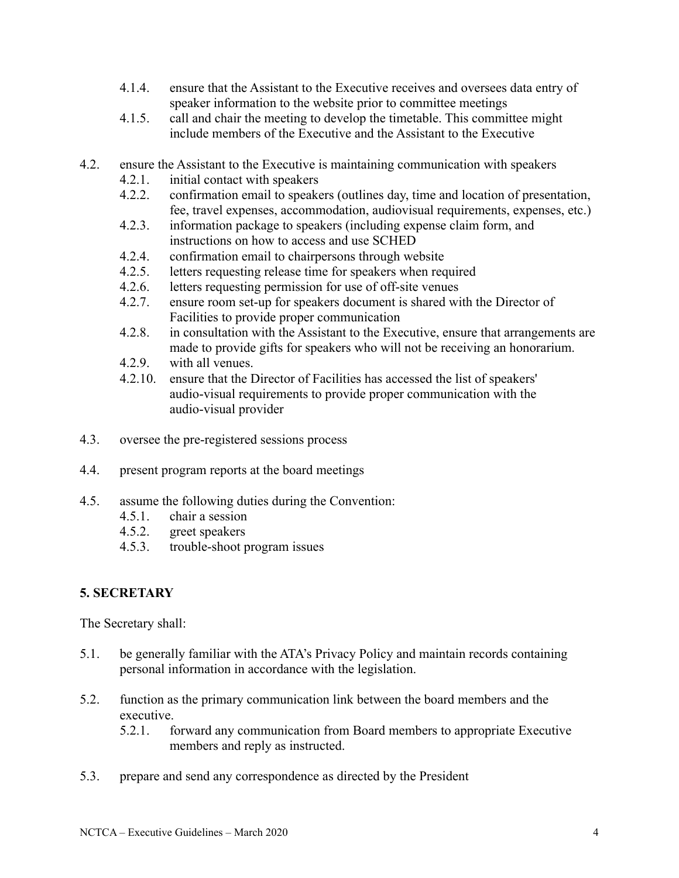- 4.1.4. ensure that the Assistant to the Executive receives and oversees data entry of speaker information to the website prior to committee meetings
- 4.1.5. call and chair the meeting to develop the timetable. This committee might include members of the Executive and the Assistant to the Executive
- 4.2. ensure the Assistant to the Executive is maintaining communication with speakers
	- 4.2.1. initial contact with speakers
	- 4.2.2. confirmation email to speakers (outlines day, time and location of presentation, fee, travel expenses, accommodation, audiovisual requirements, expenses, etc.)
	- 4.2.3. information package to speakers (including expense claim form, and instructions on how to access and use SCHED
	- 4.2.4. confirmation email to chairpersons through website
	- 4.2.5. letters requesting release time for speakers when required
	- 4.2.6. letters requesting permission for use of off-site venues
	- 4.2.7. ensure room set-up for speakers document is shared with the Director of Facilities to provide proper communication
	- 4.2.8. in consultation with the Assistant to the Executive, ensure that arrangements are made to provide gifts for speakers who will not be receiving an honorarium.
	- 4.2.9. with all venues.
	- 4.2.10. ensure that the Director of Facilities has accessed the list of speakers' audio-visual requirements to provide proper communication with the audio-visual provider
- 4.3. oversee the pre-registered sessions process
- 4.4. present program reports at the board meetings
- 4.5. assume the following duties during the Convention:
	- 4.5.1. chair a session
	- 4.5.2. greet speakers
	- 4.5.3. trouble-shoot program issues

### **5. SECRETARY**

The Secretary shall:

- 5.1. be generally familiar with the ATA's Privacy Policy and maintain records containing personal information in accordance with the legislation.
- 5.2. function as the primary communication link between the board members and the executive.
	- 5.2.1. forward any communication from Board members to appropriate Executive members and reply as instructed.
- 5.3. prepare and send any correspondence as directed by the President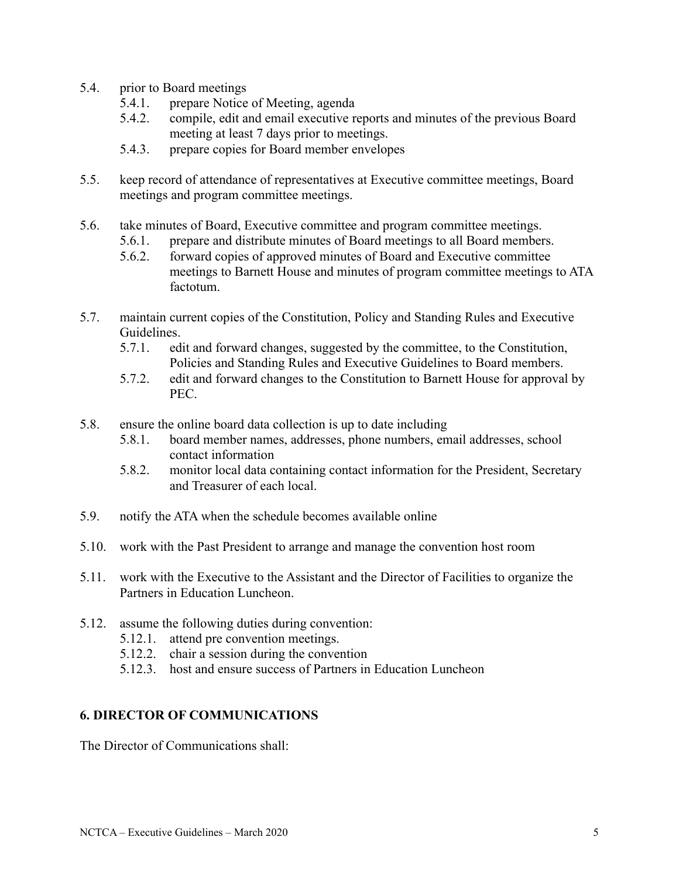- 5.4. prior to Board meetings
	- 5.4.1. prepare Notice of Meeting, agenda
	- 5.4.2. compile, edit and email executive reports and minutes of the previous Board meeting at least 7 days prior to meetings.
	- 5.4.3. prepare copies for Board member envelopes
- 5.5. keep record of attendance of representatives at Executive committee meetings, Board meetings and program committee meetings.
- 5.6. take minutes of Board, Executive committee and program committee meetings.
	- 5.6.1. prepare and distribute minutes of Board meetings to all Board members.
	- 5.6.2. forward copies of approved minutes of Board and Executive committee meetings to Barnett House and minutes of program committee meetings to ATA factotum.
- 5.7. maintain current copies of the Constitution, Policy and Standing Rules and Executive Guidelines.
	- 5.7.1. edit and forward changes, suggested by the committee, to the Constitution, Policies and Standing Rules and Executive Guidelines to Board members.
	- 5.7.2. edit and forward changes to the Constitution to Barnett House for approval by PEC.
- 5.8. ensure the online board data collection is up to date including
	- 5.8.1. board member names, addresses, phone numbers, email addresses, school contact information
	- 5.8.2. monitor local data containing contact information for the President, Secretary and Treasurer of each local.
- 5.9. notify the ATA when the schedule becomes available online
- 5.10. work with the Past President to arrange and manage the convention host room
- 5.11. work with the Executive to the Assistant and the Director of Facilities to organize the Partners in Education Luncheon.
- 5.12. assume the following duties during convention:
	- 5.12.1. attend pre convention meetings.
	- 5.12.2. chair a session during the convention
	- 5.12.3. host and ensure success of Partners in Education Luncheon

### **6. DIRECTOR OF COMMUNICATIONS**

The Director of Communications shall: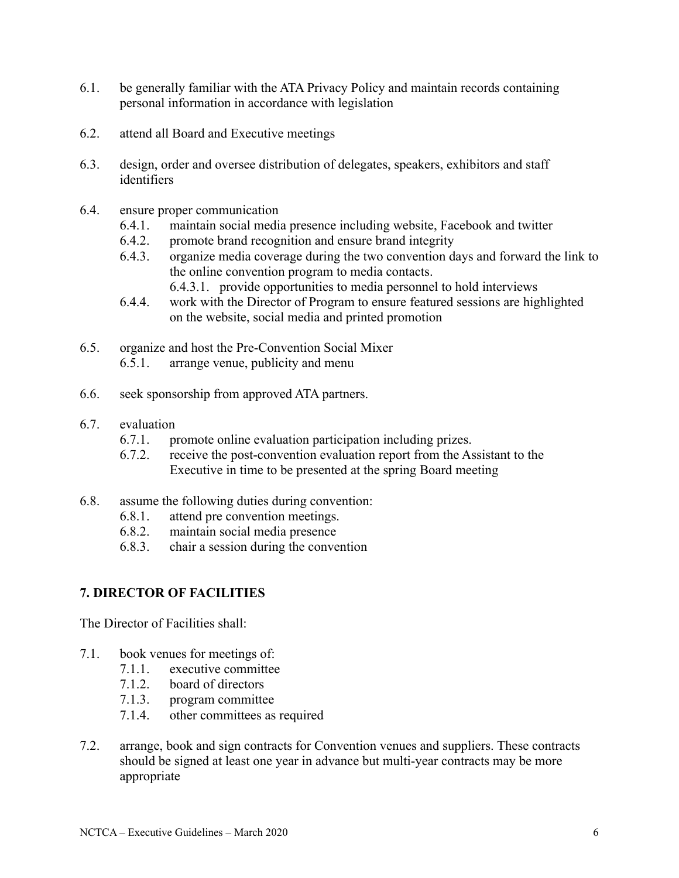- 6.1. be generally familiar with the ATA Privacy Policy and maintain records containing personal information in accordance with legislation
- 6.2. attend all Board and Executive meetings
- 6.3. design, order and oversee distribution of delegates, speakers, exhibitors and staff identifiers
- 6.4. ensure proper communication
	- 6.4.1. maintain social media presence including website, Facebook and twitter
	- 6.4.2. promote brand recognition and ensure brand integrity
	- 6.4.3. organize media coverage during the two convention days and forward the link to the online convention program to media contacts.

6.4.3.1. provide opportunities to media personnel to hold interviews

- 6.4.4. work with the Director of Program to ensure featured sessions are highlighted on the website, social media and printed promotion
- 6.5. organize and host the Pre-Convention Social Mixer 6.5.1. arrange venue, publicity and menu
- 6.6. seek sponsorship from approved ATA partners.
- 6.7. evaluation
	- 6.7.1. promote online evaluation participation including prizes.
	- 6.7.2. receive the post-convention evaluation report from the Assistant to the Executive in time to be presented at the spring Board meeting
- 6.8. assume the following duties during convention:
	- 6.8.1. attend pre convention meetings.
	- 6.8.2. maintain social media presence
	- 6.8.3. chair a session during the convention

### **7. DIRECTOR OF FACILITIES**

The Director of Facilities shall:

- 7.1. book venues for meetings of:
	- 7.1.1. executive committee
	- 7.1.2. board of directors
	- 7.1.3. program committee
	- 7.1.4. other committees as required
- 7.2. arrange, book and sign contracts for Convention venues and suppliers. These contracts should be signed at least one year in advance but multi-year contracts may be more appropriate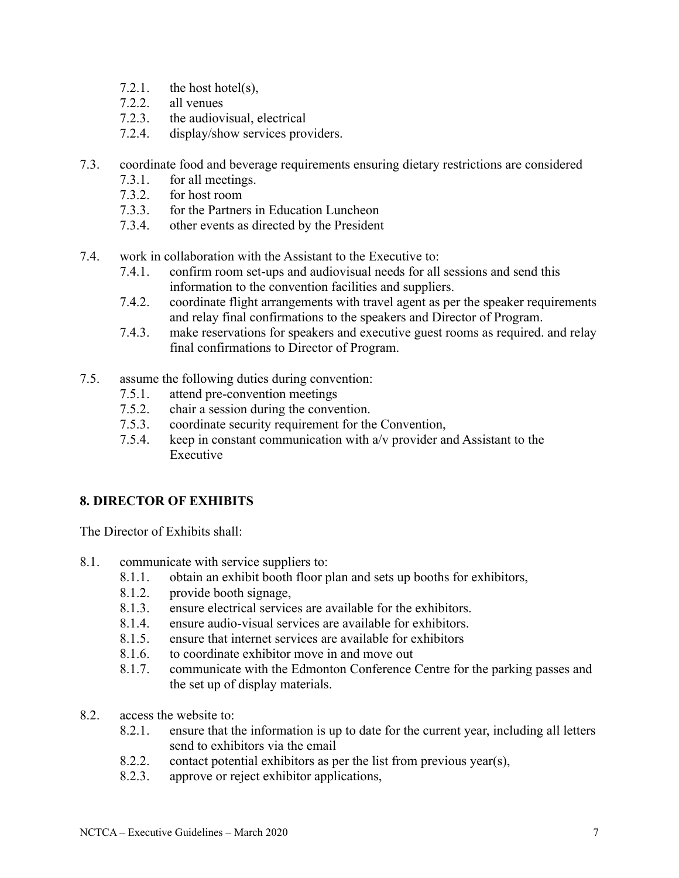- 7.2.1. the host hotel(s),
- 7.2.2. all venues
- 7.2.3. the audiovisual, electrical
- 7.2.4. display/show services providers.
- 7.3. coordinate food and beverage requirements ensuring dietary restrictions are considered
	- 7.3.1. for all meetings.
	- 7.3.2. for host room
	- 7.3.3. for the Partners in Education Luncheon
	- 7.3.4. other events as directed by the President
- 7.4. work in collaboration with the Assistant to the Executive to:
	- 7.4.1. confirm room set-ups and audiovisual needs for all sessions and send this information to the convention facilities and suppliers.
	- 7.4.2. coordinate flight arrangements with travel agent as per the speaker requirements and relay final confirmations to the speakers and Director of Program.
	- 7.4.3. make reservations for speakers and executive guest rooms as required. and relay final confirmations to Director of Program.
- 7.5. assume the following duties during convention:
	- 7.5.1. attend pre-convention meetings
	- 7.5.2. chair a session during the convention.
	- 7.5.3. coordinate security requirement for the Convention,
	- 7.5.4. keep in constant communication with a/v provider and Assistant to the Executive

### **8. DIRECTOR OF EXHIBITS**

The Director of Exhibits shall:

- 8.1. communicate with service suppliers to:
	- 8.1.1. obtain an exhibit booth floor plan and sets up booths for exhibitors,
	- 8.1.2. provide booth signage,
	- 8.1.3. ensure electrical services are available for the exhibitors.
	- 8.1.4. ensure audio-visual services are available for exhibitors.
	- 8.1.5. ensure that internet services are available for exhibitors
	- 8.1.6. to coordinate exhibitor move in and move out
	- 8.1.7. communicate with the Edmonton Conference Centre for the parking passes and the set up of display materials.
- 8.2. access the website to:
	- 8.2.1. ensure that the information is up to date for the current year, including all letters send to exhibitors via the email
	- 8.2.2. contact potential exhibitors as per the list from previous year(s),
	- 8.2.3. approve or reject exhibitor applications,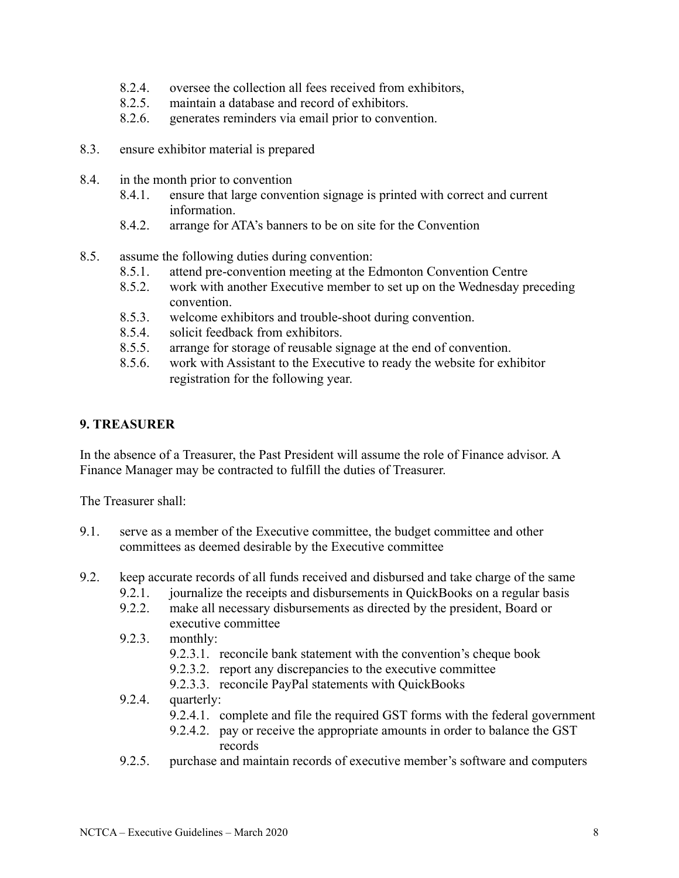- 8.2.4. oversee the collection all fees received from exhibitors,
- 8.2.5. maintain a database and record of exhibitors.
- 8.2.6. generates reminders via email prior to convention.
- 8.3. ensure exhibitor material is prepared
- 8.4. in the month prior to convention
	- 8.4.1. ensure that large convention signage is printed with correct and current information.
	- 8.4.2. arrange for ATA's banners to be on site for the Convention
- 8.5. assume the following duties during convention:
	- 8.5.1. attend pre-convention meeting at the Edmonton Convention Centre
	- 8.5.2. work with another Executive member to set up on the Wednesday preceding convention.
	- 8.5.3. welcome exhibitors and trouble-shoot during convention.
	- 8.5.4. solicit feedback from exhibitors.
	- 8.5.5. arrange for storage of reusable signage at the end of convention.
	- 8.5.6. work with Assistant to the Executive to ready the website for exhibitor registration for the following year.

### **9. TREASURER**

In the absence of a Treasurer, the Past President will assume the role of Finance advisor. A Finance Manager may be contracted to fulfill the duties of Treasurer.

The Treasurer shall:

- 9.1. serve as a member of the Executive committee, the budget committee and other committees as deemed desirable by the Executive committee
- 9.2. keep accurate records of all funds received and disbursed and take charge of the same
	- 9.2.1. journalize the receipts and disbursements in QuickBooks on a regular basis
	- 9.2.2. make all necessary disbursements as directed by the president, Board or executive committee
	- 9.2.3. monthly:
		- 9.2.3.1. reconcile bank statement with the convention's cheque book
		- 9.2.3.2. report any discrepancies to the executive committee
		- 9.2.3.3. reconcile PayPal statements with QuickBooks

### 9.2.4. quarterly:

- 9.2.4.1. complete and file the required GST forms with the federal government
- 9.2.4.2. pay or receive the appropriate amounts in order to balance the GST records
- 9.2.5. purchase and maintain records of executive member's software and computers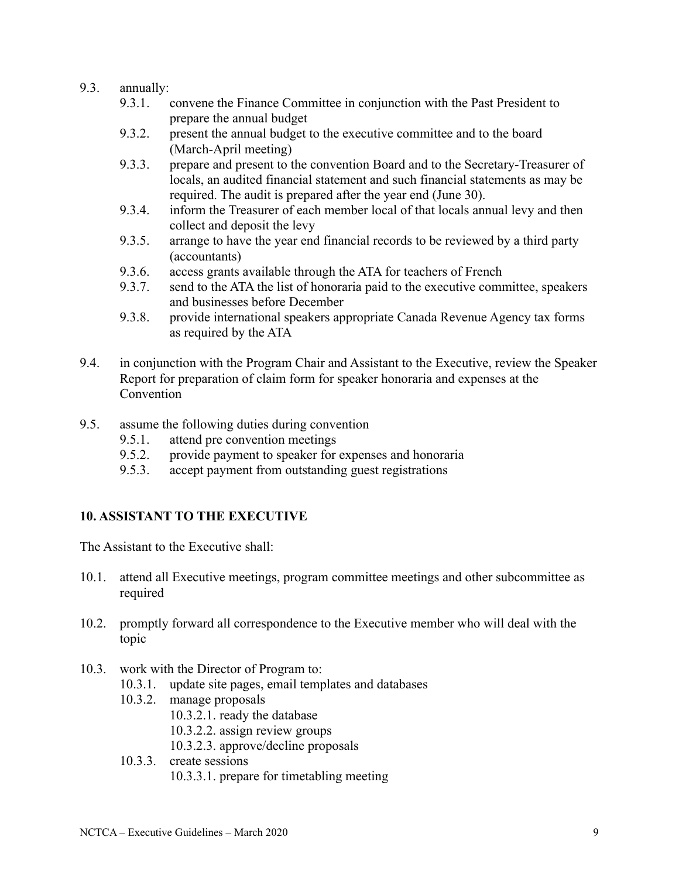#### 9.3. annually:

- 9.3.1. convene the Finance Committee in conjunction with the Past President to prepare the annual budget
- 9.3.2. present the annual budget to the executive committee and to the board (March-April meeting)
- 9.3.3. prepare and present to the convention Board and to the Secretary-Treasurer of locals, an audited financial statement and such financial statements as may be required. The audit is prepared after the year end (June 30).
- 9.3.4. inform the Treasurer of each member local of that locals annual levy and then collect and deposit the levy
- 9.3.5. arrange to have the year end financial records to be reviewed by a third party (accountants)
- 9.3.6. access grants available through the ATA for teachers of French
- 9.3.7. send to the ATA the list of honoraria paid to the executive committee, speakers and businesses before December
- 9.3.8. provide international speakers appropriate Canada Revenue Agency tax forms as required by the ATA
- 9.4. in conjunction with the Program Chair and Assistant to the Executive, review the Speaker Report for preparation of claim form for speaker honoraria and expenses at the **Convention**
- 9.5. assume the following duties during convention
	- 9.5.1. attend pre convention meetings
	- 9.5.2. provide payment to speaker for expenses and honoraria
	- 9.5.3. accept payment from outstanding guest registrations

### **10. ASSISTANT TO THE EXECUTIVE**

The Assistant to the Executive shall:

- 10.1. attend all Executive meetings, program committee meetings and other subcommittee as required
- 10.2. promptly forward all correspondence to the Executive member who will deal with the topic
- 10.3. work with the Director of Program to:
	- 10.3.1. update site pages, email templates and databases
	- 10.3.2. manage proposals
		- 10.3.2.1. ready the database
		- 10.3.2.2. assign review groups
		- 10.3.2.3. approve/decline proposals
	- 10.3.3. create sessions 10.3.3.1. prepare for timetabling meeting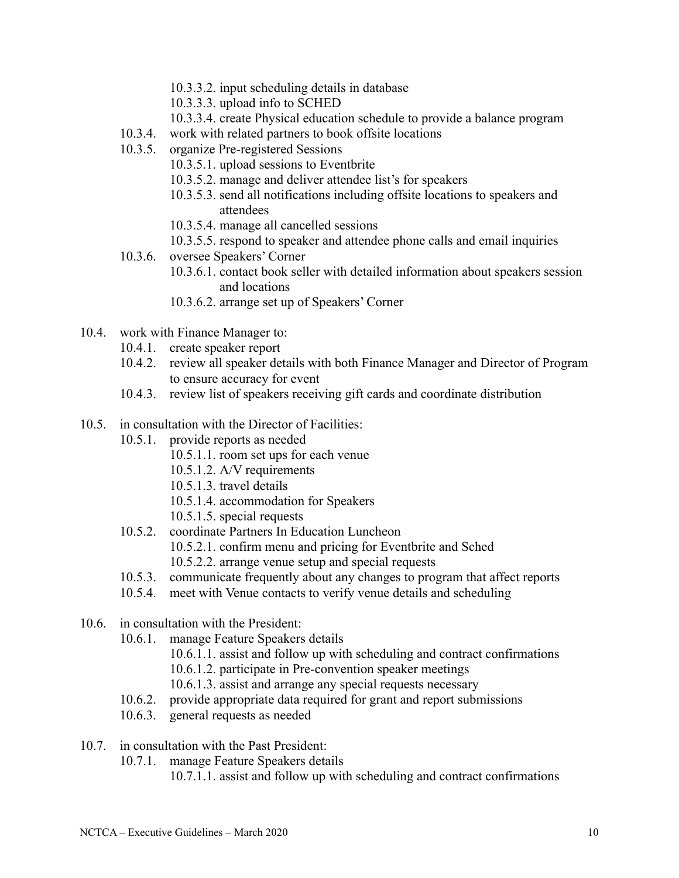- 10.3.3.2. input scheduling details in database
- 10.3.3.3. upload info to SCHED
- 10.3.3.4. create Physical education schedule to provide a balance program
- 10.3.4. work with related partners to book offsite locations
- 10.3.5. organize Pre-registered Sessions
	- 10.3.5.1. upload sessions to Eventbrite
	- 10.3.5.2. manage and deliver attendee list's for speakers
	- 10.3.5.3. send all notifications including offsite locations to speakers and attendees
	- 10.3.5.4. manage all cancelled sessions
	- 10.3.5.5. respond to speaker and attendee phone calls and email inquiries
- 10.3.6. oversee Speakers' Corner
	- 10.3.6.1. contact book seller with detailed information about speakers session and locations
	- 10.3.6.2. arrange set up of Speakers' Corner
- 10.4. work with Finance Manager to:
	- 10.4.1. create speaker report
	- 10.4.2. review all speaker details with both Finance Manager and Director of Program to ensure accuracy for event
	- 10.4.3. review list of speakers receiving gift cards and coordinate distribution
- 10.5. in consultation with the Director of Facilities:
	- 10.5.1. provide reports as needed
		- 10.5.1.1. room set ups for each venue
		- 10.5.1.2. A/V requirements
		- 10.5.1.3. travel details
		- 10.5.1.4. accommodation for Speakers
		- 10.5.1.5. special requests
	- 10.5.2. coordinate Partners In Education Luncheon
		- 10.5.2.1. confirm menu and pricing for Eventbrite and Sched
		- 10.5.2.2. arrange venue setup and special requests
	- 10.5.3. communicate frequently about any changes to program that affect reports
	- 10.5.4. meet with Venue contacts to verify venue details and scheduling
- 10.6. in consultation with the President:
	- 10.6.1. manage Feature Speakers details
		- 10.6.1.1. assist and follow up with scheduling and contract confirmations
		- 10.6.1.2. participate in Pre-convention speaker meetings
		- 10.6.1.3. assist and arrange any special requests necessary
	- 10.6.2. provide appropriate data required for grant and report submissions
	- 10.6.3. general requests as needed
- 10.7. in consultation with the Past President:
	- 10.7.1. manage Feature Speakers details
		- 10.7.1.1. assist and follow up with scheduling and contract confirmations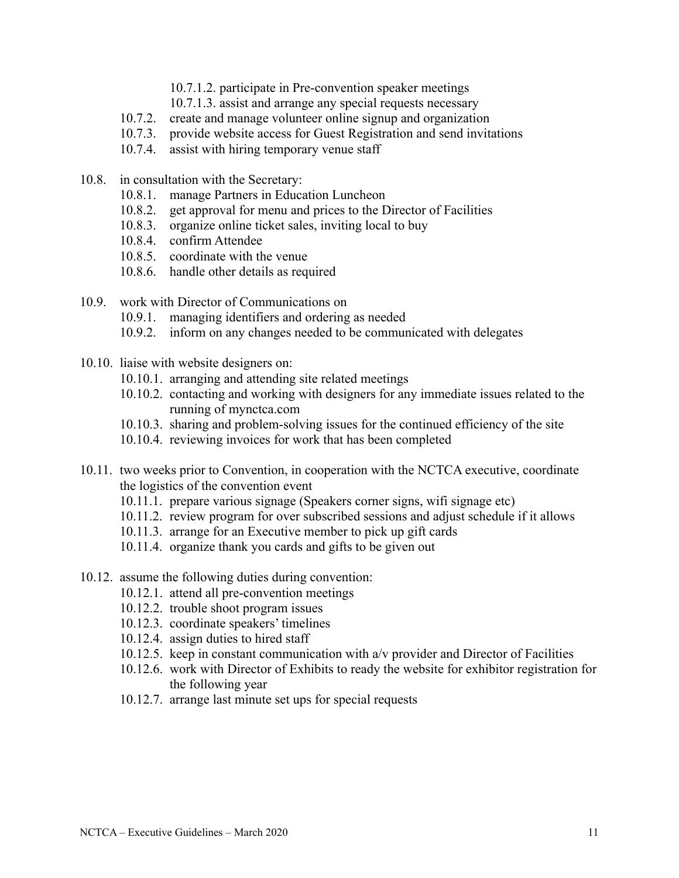- 10.7.1.2. participate in Pre-convention speaker meetings
- 10.7.1.3. assist and arrange any special requests necessary
- 10.7.2. create and manage volunteer online signup and organization
- 10.7.3. provide website access for Guest Registration and send invitations
- 10.7.4. assist with hiring temporary venue staff
- 10.8. in consultation with the Secretary:
	- 10.8.1. manage Partners in Education Luncheon
	- 10.8.2. get approval for menu and prices to the Director of Facilities
	- 10.8.3. organize online ticket sales, inviting local to buy
	- 10.8.4. confirm Attendee
	- 10.8.5. coordinate with the venue
	- 10.8.6. handle other details as required
- 10.9. work with Director of Communications on
	- 10.9.1. managing identifiers and ordering as needed
	- 10.9.2. inform on any changes needed to be communicated with delegates
- 10.10. liaise with website designers on:
	- 10.10.1. arranging and attending site related meetings
	- 10.10.2. contacting and working with designers for any immediate issues related to the running of mynctca.com
	- 10.10.3. sharing and problem-solving issues for the continued efficiency of the site
	- 10.10.4. reviewing invoices for work that has been completed
- 10.11. two weeks prior to Convention, in cooperation with the NCTCA executive, coordinate the logistics of the convention event
	- 10.11.1. prepare various signage (Speakers corner signs, wifi signage etc)
	- 10.11.2. review program for over subscribed sessions and adjust schedule if it allows
	- 10.11.3. arrange for an Executive member to pick up gift cards
	- 10.11.4. organize thank you cards and gifts to be given out
- 10.12. assume the following duties during convention:
	- 10.12.1. attend all pre-convention meetings
	- 10.12.2. trouble shoot program issues
	- 10.12.3. coordinate speakers' timelines
	- 10.12.4. assign duties to hired staff
	- 10.12.5. keep in constant communication with a/v provider and Director of Facilities
	- 10.12.6. work with Director of Exhibits to ready the website for exhibitor registration for the following year
	- 10.12.7. arrange last minute set ups for special requests